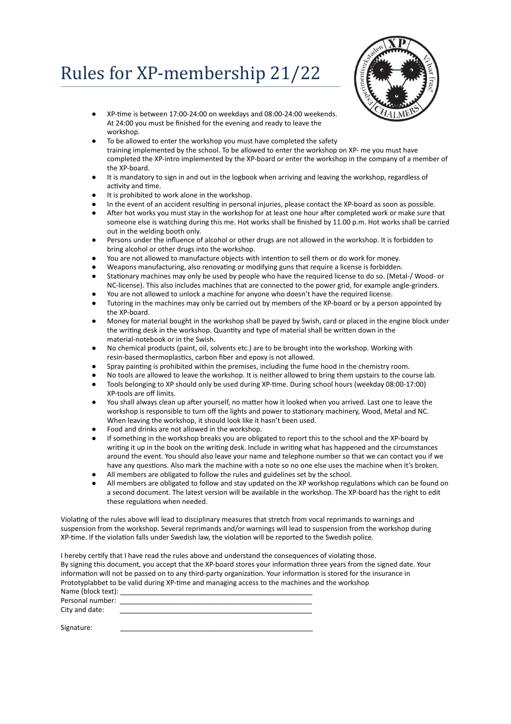## Rules for XP-membership 21/22



- XP-time is between 17:00-24:00 on weekdays and 08:00-24:00 weekends. At 24:00 you must be finished for the evening and ready to leave the workshop.
- To be allowed to enter the workshop you must have completed the safety training implemented by the school. To be allowed to enter the workshop on XP- me you must have completed the XP-intro implemented by the XP-board or enter the workshop in the company of a member of the XP-board.
- It is mandatory to sign in and out in the logbook when arriving and leaving the workshop, regardless of activity and time.
- It is prohibited to work alone in the workshop.
- In the event of an accident resulting in personal injuries, please contact the XP-board as soon as possible.
- After hot works you must stay in the workshop for at least one hour after completed work or make sure that someone else is watching during this me. Hot works shall be finished by 11.00 p.m. Hot works shall be carried out in the welding booth only.
- Persons under the influence of alcohol or other drugs are not allowed in the workshop. It is forbidden to bring alcohol or other drugs into the workshop.
- You are not allowed to manufacture objects with intention to sell them or do work for money.
- Weapons manufacturing, also renovating or modifying guns that require a license is forbidden.
- Stationary machines may only be used by people who have the required license to do so. (Metal-/ Wood- or NC-license). This also includes machines that are connected to the power grid, for example angle-grinders.
- You are not allowed to unlock a machine for anyone who doesn't have the required license.
- Tutoring in the machines may only be carried out by members of the XP-board or by a person appointed by the XP-board.
- Money for material bought in the workshop shall be payed by Swish, card or placed in the engine block under the writing desk in the workshop. Quantity and type of material shall be written down in the material-notebook or in the Swish.
- No chemical products (paint, oil, solvents etc.) are to be brought into the workshop. Working with resin-based thermoplastics, carbon fiber and epoxy is not allowed.
- Spray painting is prohibited within the premises, including the fume hood in the chemistry room.
- No tools are allowed to leave the workshop. It is neither allowed to bring them upstairs to the course lab.
- Tools belonging to XP should only be used during XP-time. During school hours (weekday 08:00-17:00) XP-tools are off limits.
- You shall always clean up after yourself, no matter how it looked when you arrived. Last one to leave the workshop is responsible to turn off the lights and power to stationary machinery, Wood, Metal and NC. When leaving the workshop, it should look like it hasn't been used.
- Food and drinks are not allowed in the workshop.
- If something in the workshop breaks you are obligated to report this to the school and the XP-board by writing it up in the book on the writing desk. Include in writing what has happened and the circumstances around the event. You should also leave your name and telephone number so that we can contact you if we have any questions. Also mark the machine with a note so no one else uses the machine when it's broken.
- All members are obligated to follow the rules and guidelines set by the school.<br>● All members are obligated to follow and stay undated on the XP workshop regi
- All members are obligated to follow and stay updated on the XP workshop regulations which can be found on a second document. The latest version will be available in the workshop. The XP-board has the right to edit these regulations when needed.

Violating of the rules above will lead to disciplinary measures that stretch from vocal reprimands to warnings and suspension from the workshop. Several reprimands and/or warnings will lead to suspension from the workshop during XP-time. If the violation falls under Swedish law, the violation will be reported to the Swedish police.

I hereby certify that I have read the rules above and understand the consequences of violating those. By signing this document, you accept that the XP-board stores your information three years from the signed date. Your information will not be passed on to any third-party organization. Your information is stored for the insurance in Prototyplabbet to be valid during XP-time and managing access to the machines and the workshop Name (block text):

| Personal number: |  |
|------------------|--|
| City and date:   |  |
|                  |  |

Signature: